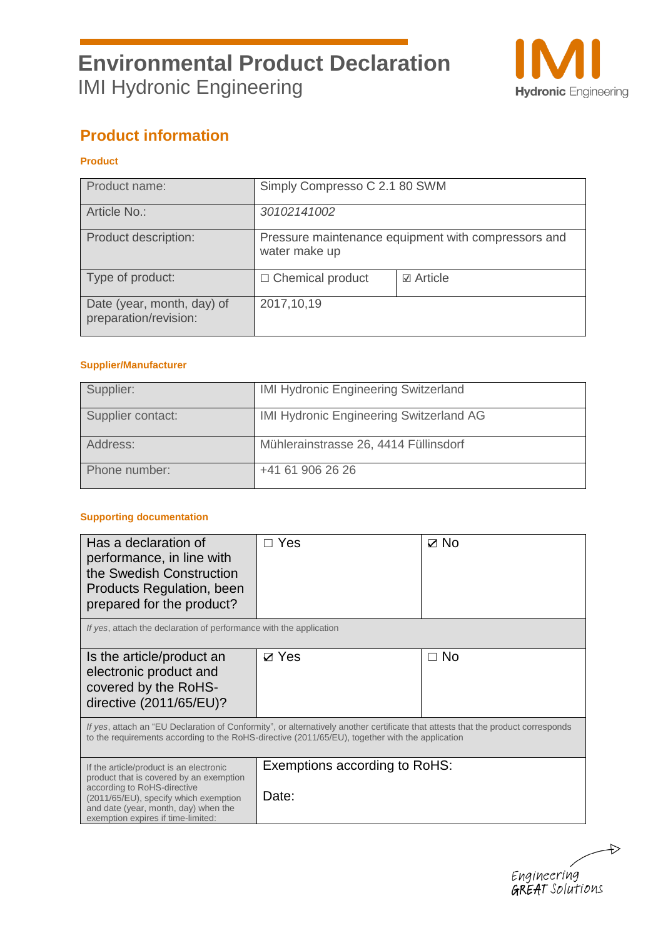

## **Product information**

### **Product**

| Product name:                                       | Simply Compresso C 2.1 80 SWM                                        |  |  |
|-----------------------------------------------------|----------------------------------------------------------------------|--|--|
| Article No.:                                        | 30102141002                                                          |  |  |
| Product description:                                | Pressure maintenance equipment with compressors and<br>water make up |  |  |
| Type of product:                                    | <b>☑</b> Article<br>$\Box$ Chemical product                          |  |  |
| Date (year, month, day) of<br>preparation/revision: | 2017, 10, 19                                                         |  |  |

#### **Supplier/Manufacturer**

| Supplier:         | <b>IMI Hydronic Engineering Switzerland</b>    |
|-------------------|------------------------------------------------|
| Supplier contact: | <b>IMI Hydronic Engineering Switzerland AG</b> |
| Address:          | Mühlerainstrasse 26, 4414 Füllinsdorf          |
| Phone number:     | +41 61 906 26 26                               |

#### **Supporting documentation**

| Has a declaration of<br>performance, in line with<br>the Swedish Construction<br>Products Regulation, been<br>prepared for the product?                                                                                                  | Yes                                    | $\boxtimes$ No |  |  |
|------------------------------------------------------------------------------------------------------------------------------------------------------------------------------------------------------------------------------------------|----------------------------------------|----------------|--|--|
| If yes, attach the declaration of performance with the application                                                                                                                                                                       |                                        |                |  |  |
| Is the article/product an<br>electronic product and<br>covered by the RoHS-<br>directive (2011/65/EU)?                                                                                                                                   | $\nabla$ Yes                           | $\Box$ No      |  |  |
| If yes, attach an "EU Declaration of Conformity", or alternatively another certificate that attests that the product corresponds<br>to the requirements according to the RoHS-directive (2011/65/EU), together with the application      |                                        |                |  |  |
| If the article/product is an electronic<br>product that is covered by an exemption<br>according to RoHS-directive<br>(2011/65/EU), specify which exemption<br>and date (year, month, day) when the<br>exemption expires if time-limited: | Exemptions according to RoHS:<br>Date: |                |  |  |

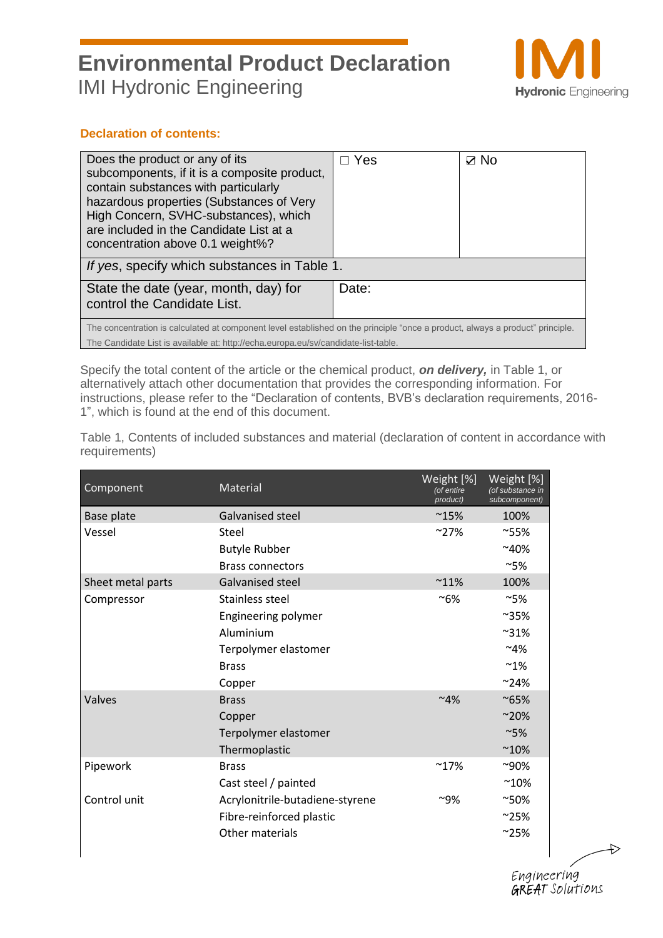

#### **Declaration of contents:**

| Does the product or any of its<br>subcomponents, if it is a composite product,<br>contain substances with particularly<br>hazardous properties (Substances of Very<br>High Concern, SVHC-substances), which<br>are included in the Candidate List at a<br>concentration above 0.1 weight%? | Yes   | ⊽ No |  |
|--------------------------------------------------------------------------------------------------------------------------------------------------------------------------------------------------------------------------------------------------------------------------------------------|-------|------|--|
| If yes, specify which substances in Table 1.                                                                                                                                                                                                                                               |       |      |  |
| State the date (year, month, day) for<br>control the Candidate List.                                                                                                                                                                                                                       | Date: |      |  |
| The concentration is calculated at component level established on the principle "once a product, always a product" principle.<br>The Candidate List is available at: http://echa.europa.eu/sv/candidate-list-table.                                                                        |       |      |  |

Specify the total content of the article or the chemical product, *on delivery,* in Table 1, or alternatively attach other documentation that provides the corresponding information. For instructions, please refer to the "Declaration of contents, BVB's declaration requirements, 2016- 1", which is found at the end of this document.

Table 1, Contents of included substances and material (declaration of content in accordance with requirements)

| Component         | Material                        | Weight [%]<br>(of entire<br>product) | Weight <sup>[%]</sup><br>(of substance in<br>subcomponent) |
|-------------------|---------------------------------|--------------------------------------|------------------------------------------------------------|
| Base plate        | <b>Galvanised steel</b>         | $^{\sim}15\%$                        | 100%                                                       |
| Vessel            | Steel                           | $~27\%$                              | $^{\sim}55\%$                                              |
|                   | <b>Butyle Rubber</b>            |                                      | $~10\%$                                                    |
|                   | <b>Brass connectors</b>         |                                      | ~5%                                                        |
| Sheet metal parts | Galvanised steel                | $~11\%$                              | 100%                                                       |
| Compressor        | Stainless steel                 | $~16\%$                              | $~\sim$ 5%                                                 |
|                   | Engineering polymer             |                                      | $^{\sim}35\%$                                              |
|                   | Aluminium                       |                                      | $^{\sim}31\%$                                              |
|                   | Terpolymer elastomer            |                                      | $~14\%$                                                    |
|                   | <b>Brass</b>                    |                                      | $~^{\sim}1\%$                                              |
|                   | Copper                          |                                      | $~24\%$                                                    |
| Valves            | <b>Brass</b>                    | $~14\%$                              | $^{\sim}65\%$                                              |
|                   | Copper                          |                                      | $~20\%$                                                    |
|                   | Terpolymer elastomer            |                                      | ~5%                                                        |
|                   | Thermoplastic                   |                                      | $^{\sim}10\%$                                              |
| Pipework          | <b>Brass</b>                    | $^{\sim}17\%$                        | $^{\sim}90\%$                                              |
|                   | Cast steel / painted            |                                      | $^{\sim}10\%$                                              |
| Control unit      | Acrylonitrile-butadiene-styrene | $^{\sim}9\%$                         | $^{\sim}50\%$                                              |
|                   | Fibre-reinforced plastic        |                                      | $^{\sim}$ 25%                                              |
|                   | Other materials                 |                                      | $^{\sim}25\%$                                              |
|                   |                                 |                                      |                                                            |

Engineering **GREAT** Solutions ₽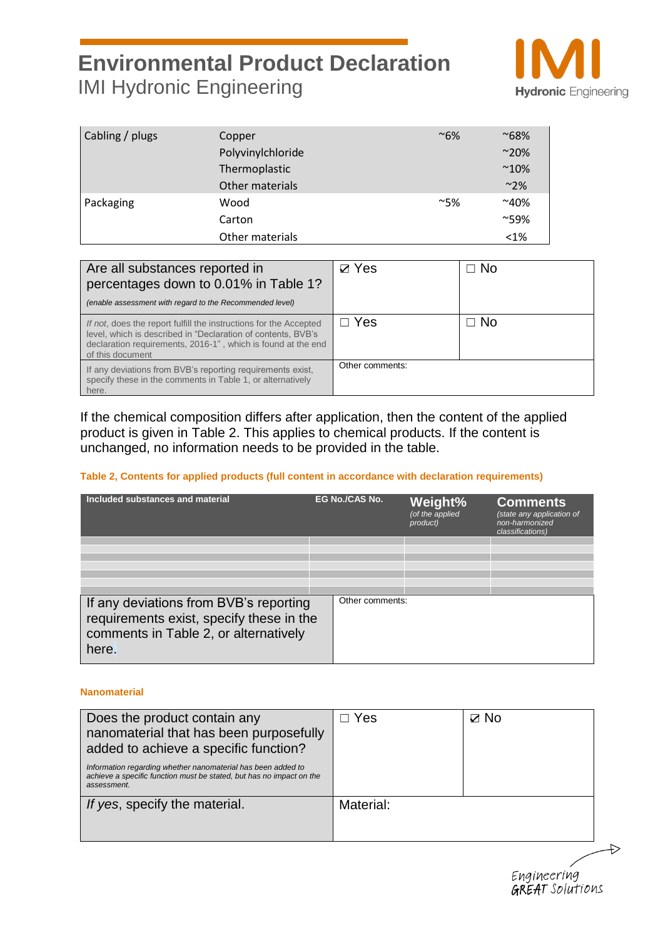

| Cabling / plugs | Copper            | $~\sim 6\%$ | $^{\sim}68\%$  |
|-----------------|-------------------|-------------|----------------|
|                 | Polyvinylchloride |             | $~^{\sim}$ 20% |
|                 | Thermoplastic     |             | $^{\sim}10\%$  |
|                 | Other materials   |             | $~^{\sim}$ 2%  |
| Packaging       | Wood              | $~\sim$ 5%  | $~10\%$        |
|                 | Carton            |             | $^{\sim}59\%$  |
|                 | Other materials   |             | $<$ 1%         |

| Are all substances reported in<br>percentages down to 0.01% in Table 1?<br>(enable assessment with regard to the Recommended level)                                                                                   | $\boxtimes$ Yes | ⊐ No           |
|-----------------------------------------------------------------------------------------------------------------------------------------------------------------------------------------------------------------------|-----------------|----------------|
| If not, does the report fulfill the instructions for the Accepted<br>level, which is described in "Declaration of contents, BVB's<br>declaration requirements, 2016-1", which is found at the end<br>of this document | $\Box$ Yes      | $\sqsupset$ No |
| If any deviations from BVB's reporting requirements exist,<br>specify these in the comments in Table 1, or alternatively<br>here.                                                                                     | Other comments: |                |

If the chemical composition differs after application, then the content of the applied product is given in Table 2. This applies to chemical products. If the content is unchanged, no information needs to be provided in the table.

#### **Table 2, Contents for applied products (full content in accordance with declaration requirements)**

| Included substances and material                                                                                                     | EG No./CAS No.  | Weight%<br>(of the applied<br>product) | <b>Comments</b><br>(state any application of<br>non-harmonized<br>classifications) |
|--------------------------------------------------------------------------------------------------------------------------------------|-----------------|----------------------------------------|------------------------------------------------------------------------------------|
|                                                                                                                                      |                 |                                        |                                                                                    |
| If any deviations from BVB's reporting<br>requirements exist, specify these in the<br>comments in Table 2, or alternatively<br>here. | Other comments: |                                        |                                                                                    |

#### **Nanomaterial**

| Does the product contain any<br>nanomaterial that has been purposefully<br>added to achieve a specific function?<br>Information regarding whether nanomaterial has been added to<br>achieve a specific function must be stated, but has no impact on the<br>assessment. | Yes       | $\boxtimes$ No |
|-------------------------------------------------------------------------------------------------------------------------------------------------------------------------------------------------------------------------------------------------------------------------|-----------|----------------|
| If yes, specify the material.                                                                                                                                                                                                                                           | Material: |                |

Engineering<br>GREAT Solutions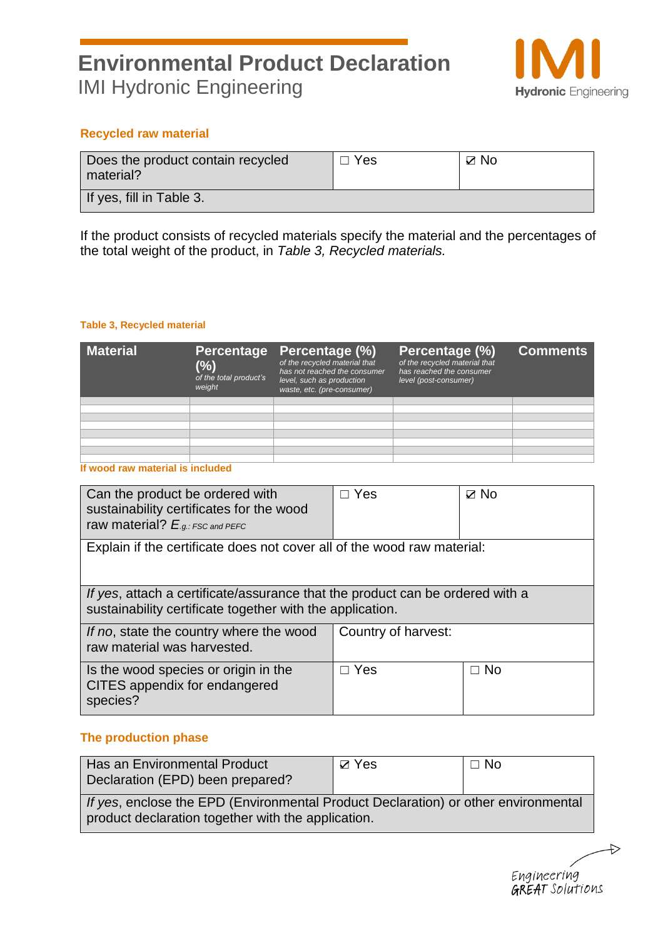

### **Recycled raw material**

| Does the product contain recycled<br>material? | $\Box$ Yes | $\boxtimes$ No |
|------------------------------------------------|------------|----------------|
| If yes, fill in Table 3.                       |            |                |

If the product consists of recycled materials specify the material and the percentages of the total weight of the product, in *Table 3, Recycled materials.*

#### **Table 3, Recycled material**

| <b>Material</b> | Percentage<br>$(\%)$<br>of the total product's<br>weight | Percentage (%)<br>of the recycled material that<br>has not reached the consumer<br>level, such as production<br>waste, etc. (pre-consumer) | Percentage (%)<br>of the recycled material that<br>has reached the consumer<br>level (post-consumer) | <b>Comments</b> |
|-----------------|----------------------------------------------------------|--------------------------------------------------------------------------------------------------------------------------------------------|------------------------------------------------------------------------------------------------------|-----------------|
|                 |                                                          |                                                                                                                                            |                                                                                                      |                 |
|                 |                                                          |                                                                                                                                            |                                                                                                      |                 |
|                 |                                                          |                                                                                                                                            |                                                                                                      |                 |
|                 |                                                          |                                                                                                                                            |                                                                                                      |                 |
|                 |                                                          |                                                                                                                                            |                                                                                                      |                 |
|                 |                                                          |                                                                                                                                            |                                                                                                      |                 |
|                 |                                                          |                                                                                                                                            |                                                                                                      |                 |
|                 |                                                          |                                                                                                                                            |                                                                                                      |                 |

**If wood raw material is included**

| Can the product be ordered with<br>sustainability certificates for the wood<br>raw material? $E_{.g.:FSC}$ and PEFC                        | $\Box$ Yes          | $\boxtimes$ No |  |  |
|--------------------------------------------------------------------------------------------------------------------------------------------|---------------------|----------------|--|--|
| Explain if the certificate does not cover all of the wood raw material:                                                                    |                     |                |  |  |
| If yes, attach a certificate/assurance that the product can be ordered with a<br>sustainability certificate together with the application. |                     |                |  |  |
| If no, state the country where the wood<br>raw material was harvested.                                                                     | Country of harvest: |                |  |  |
| Is the wood species or origin in the<br>CITES appendix for endangered<br>species?                                                          | $\Box$ Yes          | $\Box$ No      |  |  |

### **The production phase**

| Has an Environmental Product<br>Declaration (EPD) been prepared?                                                                         | $\boxtimes$ Yes | $\Box$ No |
|------------------------------------------------------------------------------------------------------------------------------------------|-----------------|-----------|
| If yes, enclose the EPD (Environmental Product Declaration) or other environmental<br>product declaration together with the application. |                 |           |

Engineering GREAT Solutions

 $\leftrightarrow$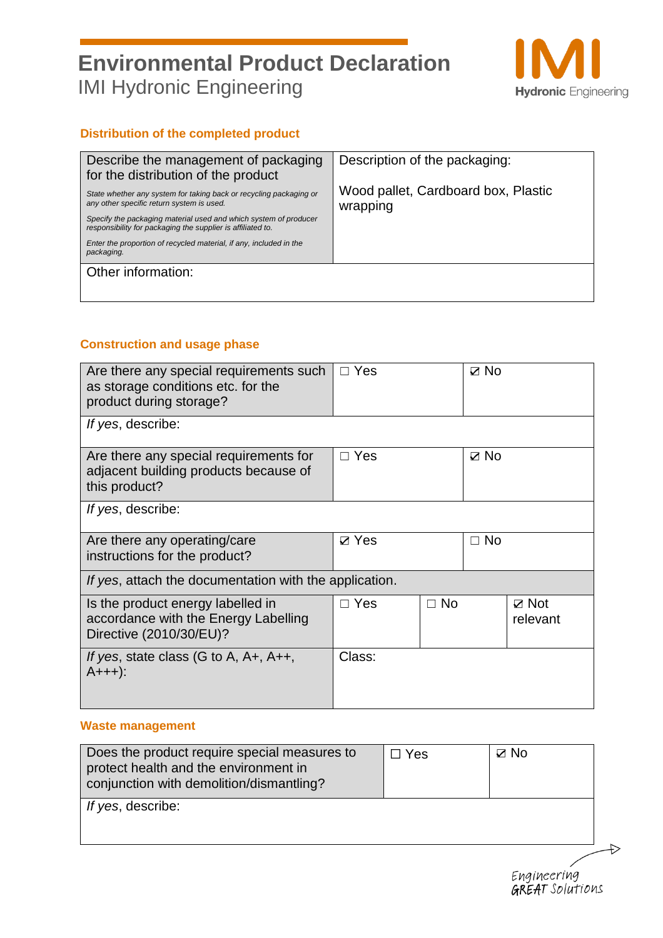

### **Distribution of the completed product**

| Describe the management of packaging<br>for the distribution of the product                                                     | Description of the packaging:                   |
|---------------------------------------------------------------------------------------------------------------------------------|-------------------------------------------------|
| State whether any system for taking back or recycling packaging or<br>any other specific return system is used.                 | Wood pallet, Cardboard box, Plastic<br>wrapping |
| Specify the packaging material used and which system of producer<br>responsibility for packaging the supplier is affiliated to. |                                                 |
| Enter the proportion of recycled material, if any, included in the<br>packaging.                                                |                                                 |
| Other information:                                                                                                              |                                                 |
|                                                                                                                                 |                                                 |

### **Construction and usage phase**

| Are there any special requirements such<br>as storage conditions etc. for the<br>product during storage? | $\Box$ Yes      |           | $\boxtimes$ No |                          |
|----------------------------------------------------------------------------------------------------------|-----------------|-----------|----------------|--------------------------|
| If yes, describe:                                                                                        |                 |           |                |                          |
| Are there any special requirements for<br>adjacent building products because of<br>this product?         | $\Box$ Yes      |           | $\boxtimes$ No |                          |
| If yes, describe:                                                                                        |                 |           |                |                          |
| Are there any operating/care<br>instructions for the product?                                            | $\boxtimes$ Yes |           | $\Box$ No      |                          |
| If yes, attach the documentation with the application.                                                   |                 |           |                |                          |
| Is the product energy labelled in<br>accordance with the Energy Labelling<br>Directive (2010/30/EU)?     | $\Box$ Yes      | $\Box$ No |                | $\nabla$ Not<br>relevant |
| If yes, state class (G to A, $A+$ , $A++$ ,<br>$A++$ ):                                                  | Class:          |           |                |                          |

### **Waste management**

| Does the product require special measures to<br>$\boxtimes$ No<br>$\Box$ Yes<br>protect health and the environment in<br>conjunction with demolition/dismantling? |  |
|-------------------------------------------------------------------------------------------------------------------------------------------------------------------|--|
| If yes, describe:                                                                                                                                                 |  |
|                                                                                                                                                                   |  |



 $\Rightarrow$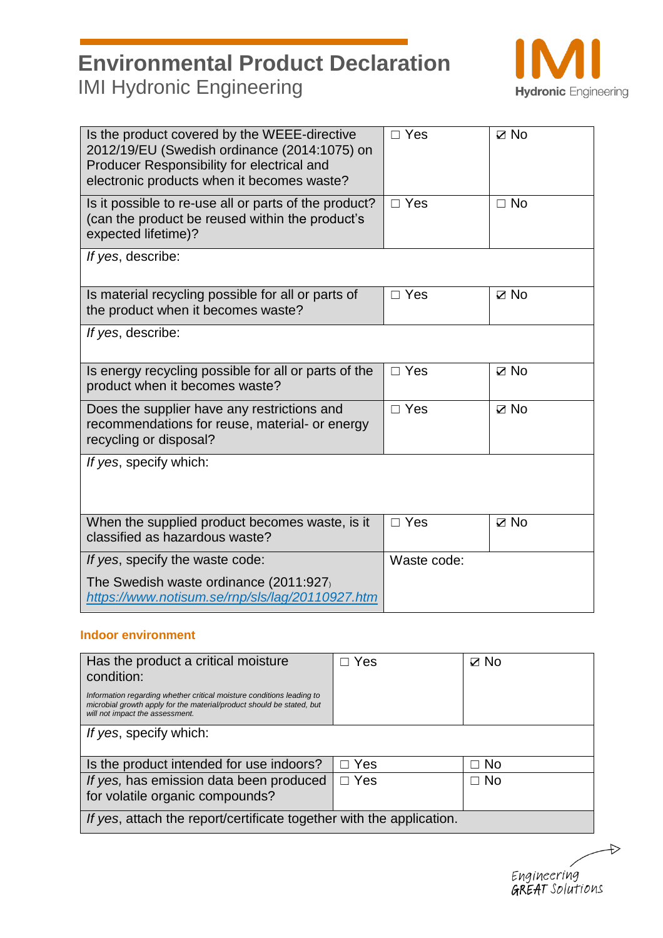

| Is the product covered by the WEEE-directive<br>2012/19/EU (Swedish ordinance (2014:1075) on<br>Producer Responsibility for electrical and<br>electronic products when it becomes waste? | $\Box$ Yes  | $\boxtimes$ No |  |
|------------------------------------------------------------------------------------------------------------------------------------------------------------------------------------------|-------------|----------------|--|
| Is it possible to re-use all or parts of the product?<br>(can the product be reused within the product's<br>expected lifetime)?                                                          | $\Box$ Yes  | $\Box$ No      |  |
| If yes, describe:                                                                                                                                                                        |             |                |  |
| Is material recycling possible for all or parts of<br>the product when it becomes waste?                                                                                                 | $\Box$ Yes  | $\boxtimes$ No |  |
| If yes, describe:                                                                                                                                                                        |             |                |  |
| Is energy recycling possible for all or parts of the<br>product when it becomes waste?                                                                                                   | $\Box$ Yes  | $\boxtimes$ No |  |
| Does the supplier have any restrictions and<br>recommendations for reuse, material- or energy<br>recycling or disposal?                                                                  | $\Box$ Yes  | $\nabla$ No    |  |
| If yes, specify which:                                                                                                                                                                   |             |                |  |
| When the supplied product becomes waste, is it<br>classified as hazardous waste?                                                                                                         | $\Box$ Yes  | $\boxtimes$ No |  |
| If yes, specify the waste code:                                                                                                                                                          | Waste code: |                |  |
| The Swedish waste ordinance (2011:927)<br>https://www.notisum.se/rnp/sls/lag/20110927.htm                                                                                                |             |                |  |

#### **Indoor environment**

| Has the product a critical moisture<br>condition:                                                                                                                                 | Yes        | $\boxtimes$ No |  |
|-----------------------------------------------------------------------------------------------------------------------------------------------------------------------------------|------------|----------------|--|
| Information regarding whether critical moisture conditions leading to<br>microbial growth apply for the material/product should be stated, but<br>will not impact the assessment. |            |                |  |
| If yes, specify which:                                                                                                                                                            |            |                |  |
| Is the product intended for use indoors?                                                                                                                                          | $\Box$ Yes | ⊐ No           |  |
| If yes, has emission data been produced<br>for volatile organic compounds?                                                                                                        | $\Box$ Yes | $\Box$ No      |  |
| If yes, attach the report/certificate together with the application.                                                                                                              |            |                |  |

Engineering<br>GREAT Solutions

 $\Rightarrow$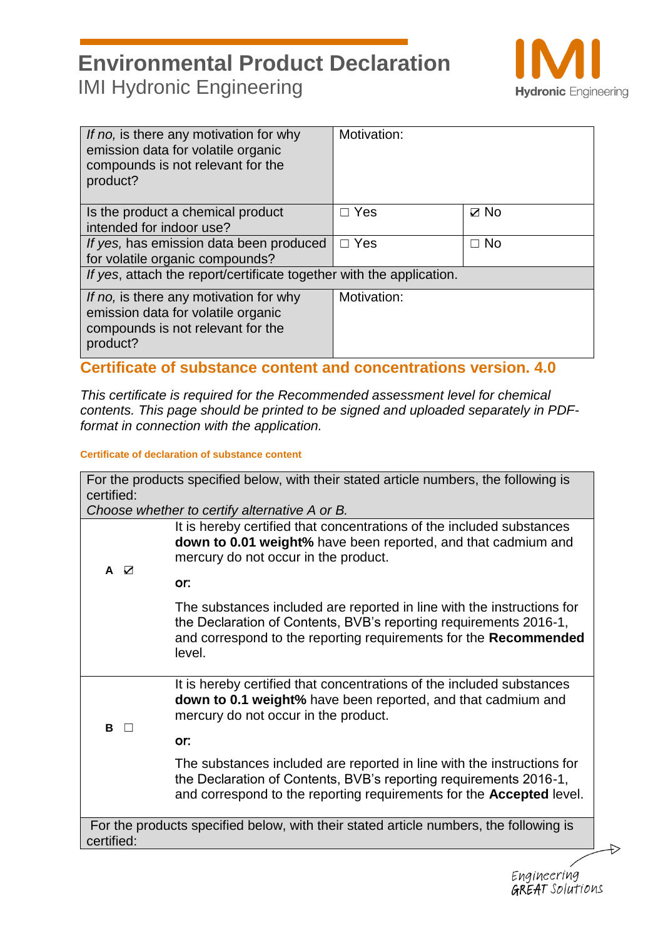

Engineering GREAT Solutions

| If no, is there any motivation for why<br>emission data for volatile organic<br>compounds is not relevant for the<br>product? | Motivation: |                |  |
|-------------------------------------------------------------------------------------------------------------------------------|-------------|----------------|--|
| Is the product a chemical product<br>intended for indoor use?                                                                 | $\Box$ Yes  | $\boxtimes$ No |  |
| If yes, has emission data been produced<br>for volatile organic compounds?                                                    | $\Box$ Yes  | $\Box$ No      |  |
| If yes, attach the report/certificate together with the application.                                                          |             |                |  |
| If no, is there any motivation for why<br>emission data for volatile organic<br>compounds is not relevant for the<br>product? | Motivation: |                |  |

### **Certificate of substance content and concentrations version. 4.0**

*This certificate is required for the Recommended assessment level for chemical contents. This page should be printed to be signed and uploaded separately in PDFformat in connection with the application.*

### **Certificate of declaration of substance content**

| It is hereby certified that concentrations of the included substances<br>down to 0.01 weight% have been reported, and that cadmium and<br>mercury do not occur in the product.<br>or:<br>The substances included are reported in line with the instructions for<br>the Declaration of Contents, BVB's reporting requirements 2016-1, |
|--------------------------------------------------------------------------------------------------------------------------------------------------------------------------------------------------------------------------------------------------------------------------------------------------------------------------------------|
|                                                                                                                                                                                                                                                                                                                                      |
|                                                                                                                                                                                                                                                                                                                                      |
| and correspond to the reporting requirements for the Recommended<br>level.                                                                                                                                                                                                                                                           |
| It is hereby certified that concentrations of the included substances<br>down to 0.1 weight% have been reported, and that cadmium and<br>mercury do not occur in the product.                                                                                                                                                        |
| or:                                                                                                                                                                                                                                                                                                                                  |
| The substances included are reported in line with the instructions for<br>the Declaration of Contents, BVB's reporting requirements 2016-1,<br>and correspond to the reporting requirements for the <b>Accepted</b> level.                                                                                                           |
| For the products specified below, with their stated article numbers, the following is                                                                                                                                                                                                                                                |